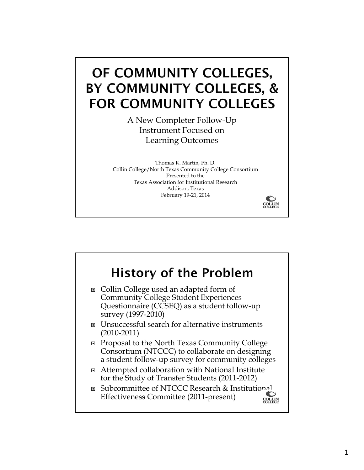# OF COMMUNITY COLLEGES, BY COMMUNITY COLLEGES, & **FOR COMMUNITY COLLEGES**

A New Completer Follow-Up Instrument Focused on Learning Outcomes

Thomas K. Martin, Ph. D. Collin College/North Texas Community College Consortium Presented to the Texas Association for Institutional Research Addison, Texas February 19-21, 2014

**COLLIN**<br>COLLEGE

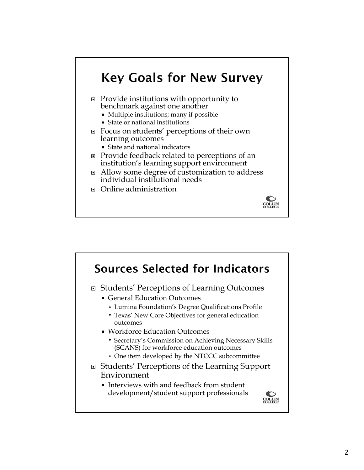

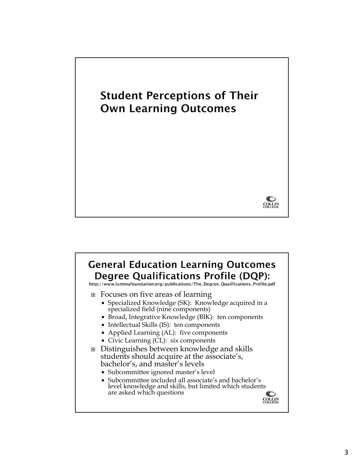

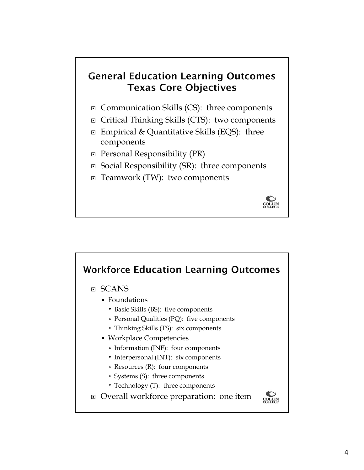### **General Education Learning Outcomes Texas Core Objectives**

- □ Communication Skills (CS): three components
- □ Critical Thinking Skills (CTS): two components
- Empirical & Quantitative Skills (EQS): three components
- $\Box$  Personal Responsibility (PR)
- $\Box$  Social Responsibility (SR): three components
- □ Teamwork (TW): two components



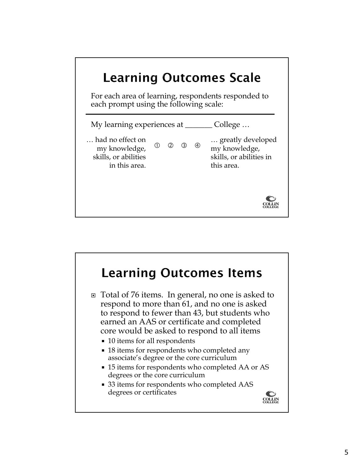

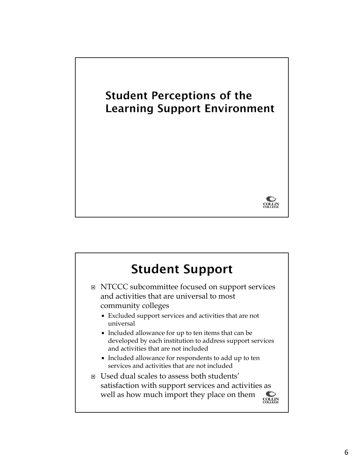

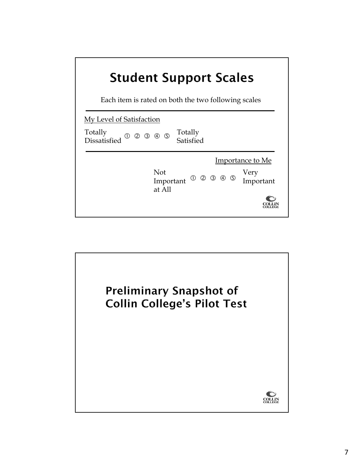# **Student Support Scales**

Each item is rated on both the two following scales

| My Level of Satisfaction                                                  |                             |                      |                                       |
|---------------------------------------------------------------------------|-----------------------------|----------------------|---------------------------------------|
| Totally<br>Dissatisfied<br>$^{\circledR}$<br>$\circled{1}$<br>$\circledS$ | $\circled{4}$ $\circled{5}$ | Totally<br>Satisfied |                                       |
|                                                                           | Not<br>Important<br>at All  | 000000               | Importance to Me<br>Very<br>Important |

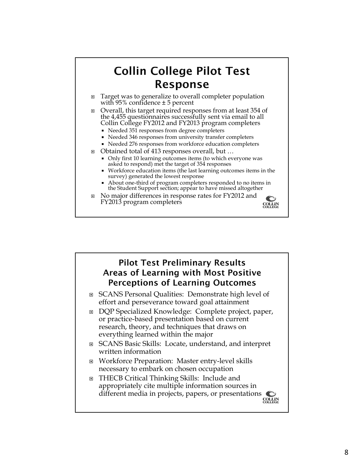#### **Collin College Pilot Test** Response □ Overall, this target required responses from at least 354 of the 4,455 questionnaires successfully sent via email to all Collin College FY2012 and FY2013 program completers Needed 351 responses from degree completers Needed 346 responses from university transfer completers ■ Needed 276 responses from workforce education completers Obtained total of 413 responses overall, but … Only first 10 learning outcomes items (to which everyone was asked to respond) met the target of 354 responses Workforce education items (the last learning outcomes items in the survey) generated the lowest response About one-third of program completers responded to no items in the Student Support section; appear to have missed altogether No major differences in response rates for FY2012 and  $\bigcirc$ FY2013 program completers **COLLIN**<br>COLLEGE

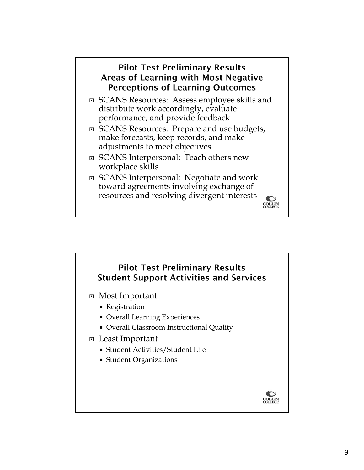#### **Pilot Test Preliminary Results** Areas of Learning with Most Negative **Perceptions of Learning Outcomes**

- SCANS Resources: Assess employee skills and distribute work accordingly, evaluate performance, and provide feedback
- □ SCANS Resources: Prepare and use budgets, make forecasts, keep records, and make adjustments to meet objectives
- □ SCANS Interpersonal: Teach others new workplace skills
- SCANS Interpersonal: Negotiate and work toward agreements involving exchange of resources and resolving divergent interests



- Most Important
	- Registration
	- Overall Learning Experiences
	- Overall Classroom Instructional Quality
- Least Important
	- Student Activities/Student Life
	- Student Organizations



 $\bullet$ **COLLIN**<br>COLLEGE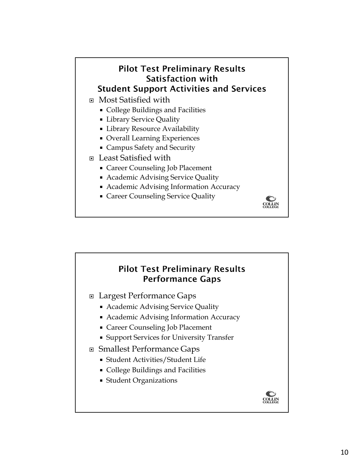### **Pilot Test Preliminary Results** Satisfaction with **Student Support Activities and Services** Most Satisfied with

- College Buildings and Facilities
- Library Service Quality
- **ELIDERTY Resource Availability**
- Overall Learning Experiences
- Campus Safety and Security
- Least Satisfied with
	- Career Counseling Job Placement
	- Academic Advising Service Quality
	- Academic Advising Information Accuracy
	- **Career Counseling Service Quality**



#### **Pilot Test Preliminary Results Performance Gaps**

- Largest Performance Gaps
	- Academic Advising Service Quality
	- Academic Advising Information Accuracy
	- Career Counseling Job Placement
	- **Support Services for University Transfer**
- Smallest Performance Gaps
	- Student Activities/Student Life
	- College Buildings and Facilities
	- Student Organizations

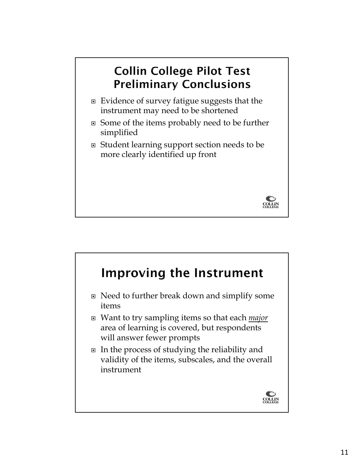## **Collin College Pilot Test Preliminary Conclusions**

- $\Box$  Evidence of survey fatigue suggests that the instrument may need to be shortened
- Some of the items probably need to be further simplified
- Student learning support section needs to be more clearly identified up front

**COLLIN**<br>COLLEGE